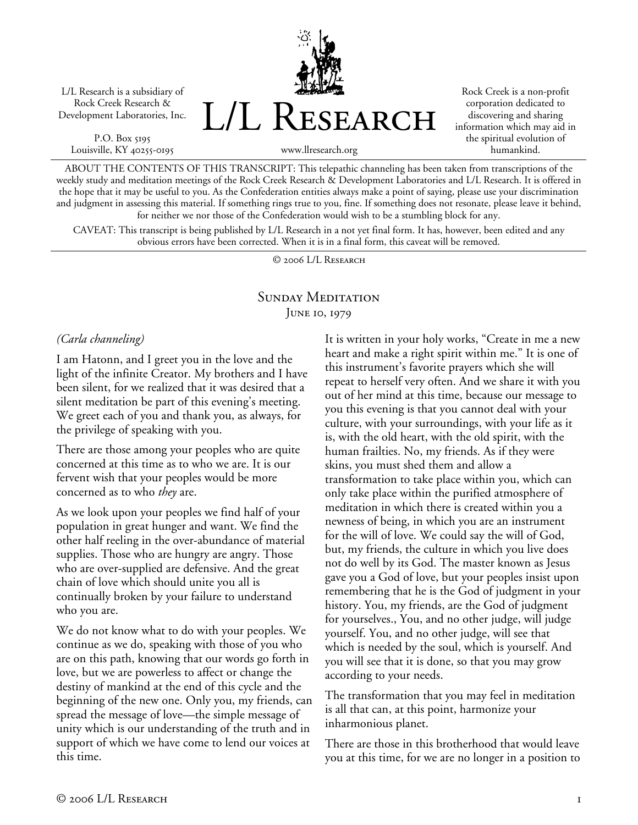L/L Research is a subsidiary of Rock Creek Research & Development Laboratories, Inc.

P.O. Box 5195 Louisville, KY 40255-0195 L/L Research

Rock Creek is a non-profit corporation dedicated to discovering and sharing information which may aid in the spiritual evolution of humankind.

www.llresearch.org

ABOUT THE CONTENTS OF THIS TRANSCRIPT: This telepathic channeling has been taken from transcriptions of the weekly study and meditation meetings of the Rock Creek Research & Development Laboratories and L/L Research. It is offered in the hope that it may be useful to you. As the Confederation entities always make a point of saying, please use your discrimination and judgment in assessing this material. If something rings true to you, fine. If something does not resonate, please leave it behind, for neither we nor those of the Confederation would wish to be a stumbling block for any.

CAVEAT: This transcript is being published by L/L Research in a not yet final form. It has, however, been edited and any obvious errors have been corrected. When it is in a final form, this caveat will be removed.

© 2006 L/L Research

#### SUNDAY MEDITATION JUNE 10, 1979

*(Carla channeling)* 

I am Hatonn, and I greet you in the love and the light of the infinite Creator. My brothers and I have been silent, for we realized that it was desired that a silent meditation be part of this evening's meeting. We greet each of you and thank you, as always, for the privilege of speaking with you.

There are those among your peoples who are quite concerned at this time as to who we are. It is our fervent wish that your peoples would be more concerned as to who *they* are.

As we look upon your peoples we find half of your population in great hunger and want. We find the other half reeling in the over-abundance of material supplies. Those who are hungry are angry. Those who are over-supplied are defensive. And the great chain of love which should unite you all is continually broken by your failure to understand who you are.

We do not know what to do with your peoples. We continue as we do, speaking with those of you who are on this path, knowing that our words go forth in love, but we are powerless to affect or change the destiny of mankind at the end of this cycle and the beginning of the new one. Only you, my friends, can spread the message of love—the simple message of unity which is our understanding of the truth and in support of which we have come to lend our voices at this time.

It is written in your holy works, "Create in me a new heart and make a right spirit within me." It is one of this instrument's favorite prayers which she will repeat to herself very often. And we share it with you out of her mind at this time, because our message to you this evening is that you cannot deal with your culture, with your surroundings, with your life as it is, with the old heart, with the old spirit, with the human frailties. No, my friends. As if they were skins, you must shed them and allow a transformation to take place within you, which can only take place within the purified atmosphere of meditation in which there is created within you a newness of being, in which you are an instrument for the will of love. We could say the will of God, but, my friends, the culture in which you live does not do well by its God. The master known as Jesus gave you a God of love, but your peoples insist upon remembering that he is the God of judgment in your history. You, my friends, are the God of judgment for yourselves., You, and no other judge, will judge yourself. You, and no other judge, will see that which is needed by the soul, which is yourself. And you will see that it is done, so that you may grow according to your needs.

The transformation that you may feel in meditation is all that can, at this point, harmonize your inharmonious planet.

There are those in this brotherhood that would leave you at this time, for we are no longer in a position to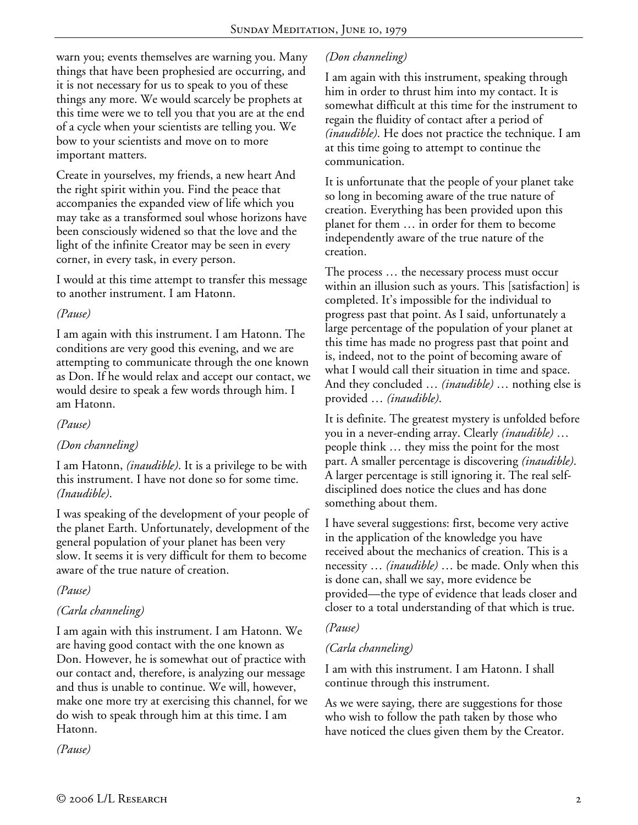warn you; events themselves are warning you. Many things that have been prophesied are occurring, and it is not necessary for us to speak to you of these things any more. We would scarcely be prophets at this time were we to tell you that you are at the end of a cycle when your scientists are telling you. We bow to your scientists and move on to more important matters.

Create in yourselves, my friends, a new heart And the right spirit within you. Find the peace that accompanies the expanded view of life which you may take as a transformed soul whose horizons have been consciously widened so that the love and the light of the infinite Creator may be seen in every corner, in every task, in every person.

I would at this time attempt to transfer this message to another instrument. I am Hatonn.

#### *(Pause)*

I am again with this instrument. I am Hatonn. The conditions are very good this evening, and we are attempting to communicate through the one known as Don. If he would relax and accept our contact, we would desire to speak a few words through him. I am Hatonn.

*(Pause)* 

# *(Don channeling)*

I am Hatonn, *(inaudible)*. It is a privilege to be with this instrument. I have not done so for some time. *(Inaudible)*.

I was speaking of the development of your people of the planet Earth. Unfortunately, development of the general population of your planet has been very slow. It seems it is very difficult for them to become aware of the true nature of creation.

# *(Pause)*

# *(Carla channeling)*

I am again with this instrument. I am Hatonn. We are having good contact with the one known as Don. However, he is somewhat out of practice with our contact and, therefore, is analyzing our message and thus is unable to continue. We will, however, make one more try at exercising this channel, for we do wish to speak through him at this time. I am Hatonn.

*(Pause)* 

# *(Don channeling)*

I am again with this instrument, speaking through him in order to thrust him into my contact. It is somewhat difficult at this time for the instrument to regain the fluidity of contact after a period of *(inaudible)*. He does not practice the technique. I am at this time going to attempt to continue the communication.

It is unfortunate that the people of your planet take so long in becoming aware of the true nature of creation. Everything has been provided upon this planet for them … in order for them to become independently aware of the true nature of the creation.

The process … the necessary process must occur within an illusion such as yours. This [satisfaction] is completed. It's impossible for the individual to progress past that point. As I said, unfortunately a large percentage of the population of your planet at this time has made no progress past that point and is, indeed, not to the point of becoming aware of what I would call their situation in time and space. And they concluded … *(inaudible)* … nothing else is provided … *(inaudible)*.

It is definite. The greatest mystery is unfolded before you in a never-ending array. Clearly *(inaudible)* … people think … they miss the point for the most part. A smaller percentage is discovering *(inaudible)*. A larger percentage is still ignoring it. The real selfdisciplined does notice the clues and has done something about them.

I have several suggestions: first, become very active in the application of the knowledge you have received about the mechanics of creation. This is a necessity … *(inaudible)* … be made. Only when this is done can, shall we say, more evidence be provided—the type of evidence that leads closer and closer to a total understanding of that which is true.

# *(Pause)*

# *(Carla channeling)*

I am with this instrument. I am Hatonn. I shall continue through this instrument.

As we were saying, there are suggestions for those who wish to follow the path taken by those who have noticed the clues given them by the Creator.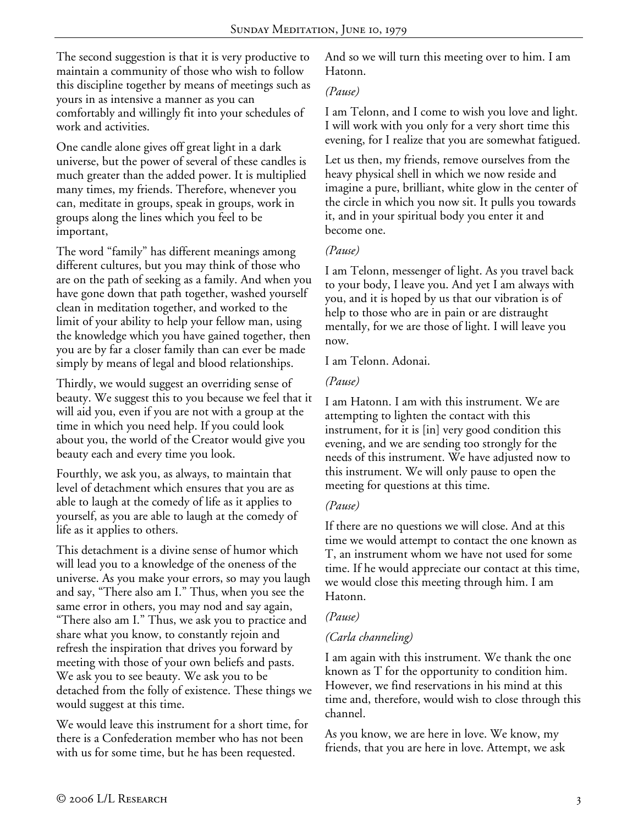The second suggestion is that it is very productive to maintain a community of those who wish to follow this discipline together by means of meetings such as yours in as intensive a manner as you can comfortably and willingly fit into your schedules of work and activities.

One candle alone gives off great light in a dark universe, but the power of several of these candles is much greater than the added power. It is multiplied many times, my friends. Therefore, whenever you can, meditate in groups, speak in groups, work in groups along the lines which you feel to be important,

The word "family" has different meanings among different cultures, but you may think of those who are on the path of seeking as a family. And when you have gone down that path together, washed yourself clean in meditation together, and worked to the limit of your ability to help your fellow man, using the knowledge which you have gained together, then you are by far a closer family than can ever be made simply by means of legal and blood relationships.

Thirdly, we would suggest an overriding sense of beauty. We suggest this to you because we feel that it will aid you, even if you are not with a group at the time in which you need help. If you could look about you, the world of the Creator would give you beauty each and every time you look.

Fourthly, we ask you, as always, to maintain that level of detachment which ensures that you are as able to laugh at the comedy of life as it applies to yourself, as you are able to laugh at the comedy of life as it applies to others.

This detachment is a divine sense of humor which will lead you to a knowledge of the oneness of the universe. As you make your errors, so may you laugh and say, "There also am I." Thus, when you see the same error in others, you may nod and say again, "There also am I." Thus, we ask you to practice and share what you know, to constantly rejoin and refresh the inspiration that drives you forward by meeting with those of your own beliefs and pasts. We ask you to see beauty. We ask you to be detached from the folly of existence. These things we would suggest at this time.

We would leave this instrument for a short time, for there is a Confederation member who has not been with us for some time, but he has been requested.

And so we will turn this meeting over to him. I am Hatonn.

#### *(Pause)*

I am Telonn, and I come to wish you love and light. I will work with you only for a very short time this evening, for I realize that you are somewhat fatigued.

Let us then, my friends, remove ourselves from the heavy physical shell in which we now reside and imagine a pure, brilliant, white glow in the center of the circle in which you now sit. It pulls you towards it, and in your spiritual body you enter it and become one.

#### *(Pause)*

I am Telonn, messenger of light. As you travel back to your body, I leave you. And yet I am always with you, and it is hoped by us that our vibration is of help to those who are in pain or are distraught mentally, for we are those of light. I will leave you now.

I am Telonn. Adonai.

#### *(Pause)*

I am Hatonn. I am with this instrument. We are attempting to lighten the contact with this instrument, for it is [in] very good condition this evening, and we are sending too strongly for the needs of this instrument. We have adjusted now to this instrument. We will only pause to open the meeting for questions at this time.

# *(Pause)*

If there are no questions we will close. And at this time we would attempt to contact the one known as T, an instrument whom we have not used for some time. If he would appreciate our contact at this time, we would close this meeting through him. I am Hatonn.

# *(Pause)*

# *(Carla channeling)*

I am again with this instrument. We thank the one known as T for the opportunity to condition him. However, we find reservations in his mind at this time and, therefore, would wish to close through this channel.

As you know, we are here in love. We know, my friends, that you are here in love. Attempt, we ask